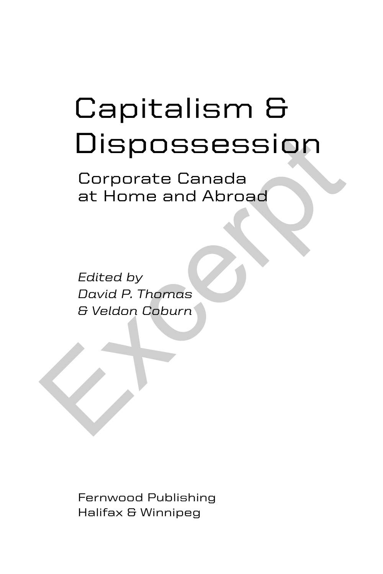# Capitalism & **Dispossession** Dispossession<br>
Corporate Canada<br>
at Home and Abroad<br>
Edited by<br>
David P. Thomas<br>
& Veldon Coburn<br>
Alternative

Corporate Canada at Home and Abroad

*Edited by David P. Thomas & Veldon Coburn*

Fernwood Publishing Halifax & Winnipeg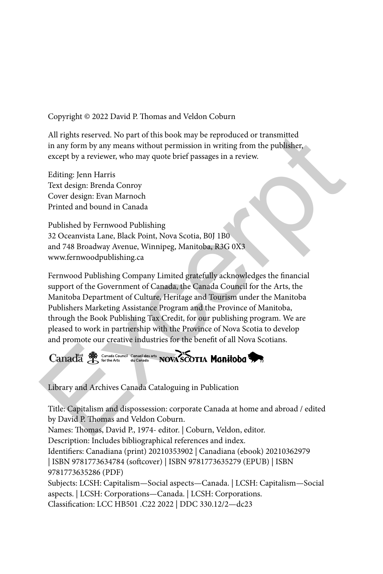Copyright © 2022 David P. Thomas and Veldon Coburn

All rights reserved. No part of this book may be reproduced or transmitted in any form by any means without permission in writing from the publisher, except by a reviewer, who may quote brief passages in a review.

Editing: Jenn Harris Text design: Brenda Conroy Cover design: Evan Marnoch Printed and bound in Canada

Published by Fernwood Publishing 32 Oceanvista Lane, Black Point, Nova Scotia, B0J 1B0 and 748 Broadway Avenue, Winnipeg, Manitoba, R3G 0X3 www.fernwoodpublishing.ca

Fernwood Publishing Company Limited gratefully acknowledges the financial support of the Government of Canada, the Canada Council for the Arts, the Manitoba Department of Culture, Heritage and Tourism under the Manitoba Publishers Marketing Assistance Program and the Province of Manitoba, through the Book Publishing Tax Credit, for our publishing program. We are pleased to work in partnership with the Province of Nova Scotia to develop and promote our creative industries for the benefit of all Nova Scotians. All rights reserved. No part of this book may be reproduced or transmitted<br>in any form by any means without permission in writing from the publisher,<br>except by a reviewer, who may quote brief passages in a review.<br>Editing:

Library and Archives Canada Cataloguing in Publication

Title: Capitalism and dispossession: corporate Canada at home and abroad / edited by David P. Thomas and Veldon Coburn. Names: Thomas, David P., 1974- editor. | Coburn, Veldon, editor. Description: Includes bibliographical references and index. Identifiers: Canadiana (print) 20210353902 | Canadiana (ebook) 20210362979 | ISBN 9781773634784 (softcover) | ISBN 9781773635279 (EPUB) | ISBN 9781773635286 (PDF) Subjects: LCSH: Capitalism—Social aspects—Canada. | LCSH: Capitalism—Social aspects. | LCSH: Corporations—Canada. | LCSH: Corporations.

Classification: LCC HB501 .C22 2022 | DDC 330.12/2—dc23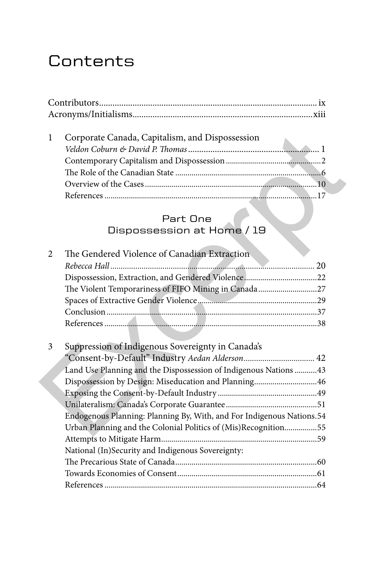## **Contents**

| Corporate Canada, Capitalism, and Dispossession |  |
|-------------------------------------------------|--|
|                                                 |  |
|                                                 |  |
|                                                 |  |
|                                                 |  |
|                                                 |  |
|                                                 |  |

## Part One

## Dispossession at Home / 19

| 1              | Corporate Canada, Capitalism, and Dispossession                       |  |
|----------------|-----------------------------------------------------------------------|--|
|                | Part One                                                              |  |
|                | Dispossession at Home / 19                                            |  |
| $\overline{2}$ | The Gendered Violence of Canadian Extraction                          |  |
|                |                                                                       |  |
|                |                                                                       |  |
|                | The Violent Temporariness of FIFO Mining in Canada27                  |  |
|                |                                                                       |  |
|                |                                                                       |  |
|                |                                                                       |  |
|                |                                                                       |  |
| 3              | Suppression of Indigenous Sovereignty in Canada's                     |  |
|                | "Consent-by-Default" Industry Aedan Alderson 42                       |  |
|                | Land Use Planning and the Dispossession of Indigenous Nations  43     |  |
|                | Dispossession by Design: Miseducation and Planning46                  |  |
|                |                                                                       |  |
|                |                                                                       |  |
|                | Endogenous Planning: Planning By, With, and For Indigenous Nations.54 |  |
|                | Urban Planning and the Colonial Politics of (Mis)Recognition55        |  |
|                |                                                                       |  |
|                | National (In)Security and Indigenous Sovereignty:                     |  |
|                |                                                                       |  |
|                |                                                                       |  |
|                |                                                                       |  |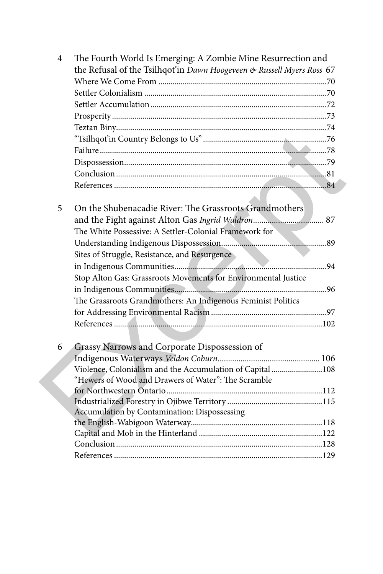| 4 |   | The Fourth World Is Emerging: A Zombie Mine Resurrection and<br>the Refusal of the Tsilhqot'in Dawn Hoogeveen & Russell Myers Ross 67 |
|---|---|---------------------------------------------------------------------------------------------------------------------------------------|
|   |   |                                                                                                                                       |
|   |   |                                                                                                                                       |
|   |   |                                                                                                                                       |
|   |   |                                                                                                                                       |
|   |   |                                                                                                                                       |
|   |   |                                                                                                                                       |
|   |   |                                                                                                                                       |
|   |   |                                                                                                                                       |
|   |   |                                                                                                                                       |
|   |   |                                                                                                                                       |
|   |   |                                                                                                                                       |
|   | 5 | On the Shubenacadie River: The Grassroots Grandmothers                                                                                |
|   |   |                                                                                                                                       |
|   |   | The White Possessive: A Settler-Colonial Framework for                                                                                |
|   |   |                                                                                                                                       |
|   |   | Sites of Struggle, Resistance, and Resurgence                                                                                         |
|   |   |                                                                                                                                       |
|   |   | Stop Alton Gas: Grassroots Movements for Environmental Justice                                                                        |
|   |   |                                                                                                                                       |
|   |   |                                                                                                                                       |
|   |   | The Grassroots Grandmothers: An Indigenous Feminist Politics                                                                          |
|   |   |                                                                                                                                       |
|   |   |                                                                                                                                       |
|   |   |                                                                                                                                       |
|   | 6 | Grassy Narrows and Corporate Dispossession of                                                                                         |
|   |   |                                                                                                                                       |
|   |   | Violence, Colonialism and the Accumulation of Capital 108                                                                             |
|   |   | "Hewers of Wood and Drawers of Water": The Scramble                                                                                   |
|   |   |                                                                                                                                       |
|   |   | Accumulation by Contamination: Dispossessing                                                                                          |
|   |   |                                                                                                                                       |
|   |   |                                                                                                                                       |
|   |   |                                                                                                                                       |
|   |   |                                                                                                                                       |
|   |   |                                                                                                                                       |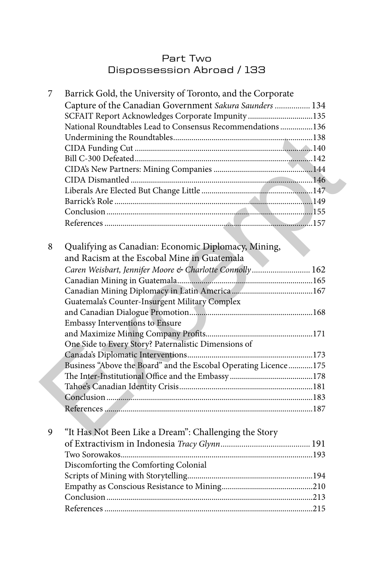## Part Two Dispossession Abroad / 133

| 7 | Barrick Gold, the University of Toronto, and the Corporate      |  |
|---|-----------------------------------------------------------------|--|
|   | Capture of the Canadian Government Sakura Saunders  134         |  |
|   | SCFAIT Report Acknowledges Corporate Impunity135                |  |
|   | National Roundtables Lead to Consensus Recommendations 136      |  |
|   |                                                                 |  |
|   |                                                                 |  |
|   |                                                                 |  |
|   |                                                                 |  |
|   |                                                                 |  |
|   |                                                                 |  |
|   |                                                                 |  |
|   |                                                                 |  |
|   |                                                                 |  |
|   |                                                                 |  |
|   |                                                                 |  |
| 8 | Qualifying as Canadian: Economic Diplomacy, Mining,             |  |
|   | and Racism at the Escobal Mine in Guatemala                     |  |
|   | Caren Weisbart, Jennifer Moore & Charlotte Connolly 162         |  |
|   |                                                                 |  |
|   |                                                                 |  |
|   | Guatemala's Counter-Insurgent Military Complex                  |  |
|   |                                                                 |  |
|   | Embassy Interventions to Ensure                                 |  |
|   |                                                                 |  |
|   | One Side to Every Story? Paternalistic Dimensions of            |  |
|   |                                                                 |  |
|   | Business "Above the Board" and the Escobal Operating Licence175 |  |
|   |                                                                 |  |
|   |                                                                 |  |
|   |                                                                 |  |
|   |                                                                 |  |
|   |                                                                 |  |
| 9 | "It Has Not Been Like a Dream": Challenging the Story           |  |
|   |                                                                 |  |
|   |                                                                 |  |
|   | Discomforting the Comforting Colonial                           |  |
|   |                                                                 |  |
|   |                                                                 |  |
|   |                                                                 |  |
|   |                                                                 |  |
|   |                                                                 |  |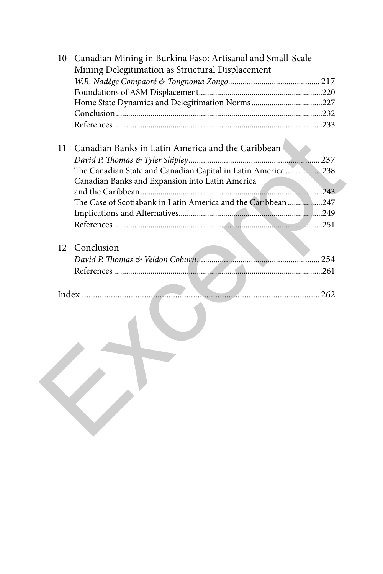| 10 | Canadian Mining in Burkina Faso: Artisanal and Small-Scale    |  |
|----|---------------------------------------------------------------|--|
|    | Mining Delegitimation as Structural Displacement              |  |
|    |                                                               |  |
|    |                                                               |  |
|    | Home State Dynamics and Delegitimation Norms227               |  |
|    |                                                               |  |
|    |                                                               |  |
| 11 | Canadian Banks in Latin America and the Caribbean             |  |
|    |                                                               |  |
|    | The Canadian State and Canadian Capital in Latin America 238  |  |
|    | Canadian Banks and Expansion into Latin America               |  |
|    |                                                               |  |
|    | The Case of Scotiabank in Latin America and the Caribbean 247 |  |
|    |                                                               |  |
|    |                                                               |  |
|    |                                                               |  |
| 12 | Conclusion                                                    |  |
|    |                                                               |  |
|    |                                                               |  |
|    |                                                               |  |
|    | Index                                                         |  |
|    |                                                               |  |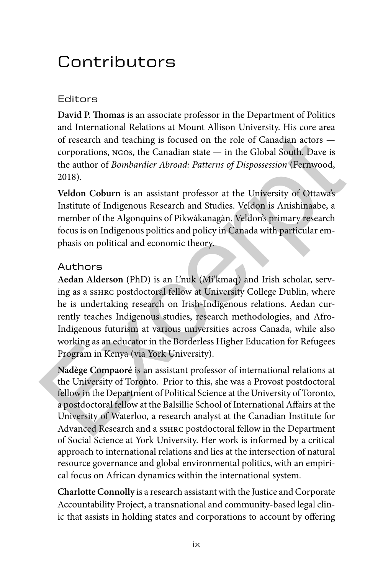# Contributors

## Editors

**David P. Thomas** is an associate professor in the Department of Politics and International Relations at Mount Allison University. His core area of research and teaching is focused on the role of Canadian actors corporations, ngos, the Canadian state — in the Global South. Dave is the author of *Bombardier Abroad: Patterns of Dispossession* (Fernwood, 2018).

**Veldon Coburn** is an assistant professor at the University of Ottawa's Institute of Indigenous Research and Studies. Veldon is Anishinaabe, a member of the Algonquins of Pikwàkanagàn. Veldon's primary research focus is on Indigenous politics and policy in Canada with particular emphasis on political and economic theory.

## Authors

**Aedan Alderson (**PhD) is an L'nuk (Mi'kmaq) and Irish scholar, serving as a sshrc postdoctoral fellow at University College Dublin, where he is undertaking research on Irish-Indigenous relations. Aedan currently teaches Indigenous studies, research methodologies, and Afro-Indigenous futurism at various universities across Canada, while also working as an educator in the Borderless Higher Education for Refugees Program in Kenya (via York University). of research and teaching is focused on the role of Canadian actors —<br>corporations, NGOs, the Canadian state — in the Global South. Dave is<br>the author of *Bombardier Abroad: Patterns of Dispossession* (Fernwood,<br>2018).<br>Vel

**Nadège Compaoré** is an assistant professor of international relations at the University of Toronto. Prior to this, she was a Provost postdoctoral fellow in the Department of Political Science at the University of Toronto, a postdoctoral fellow at the Balsillie School of International Affairs at the University of Waterloo, a research analyst at the Canadian Institute for Advanced Research and a sshrc postdoctoral fellow in the Department of Social Science at York University. Her work is informed by a critical approach to international relations and lies at the intersection of natural resource governance and global environmental politics, with an empirical focus on African dynamics within the international system.

**Charlotte Connolly** is a research assistant with the Justice and Corporate Accountability Project, a transnational and community-based legal clinic that assists in holding states and corporations to account by offering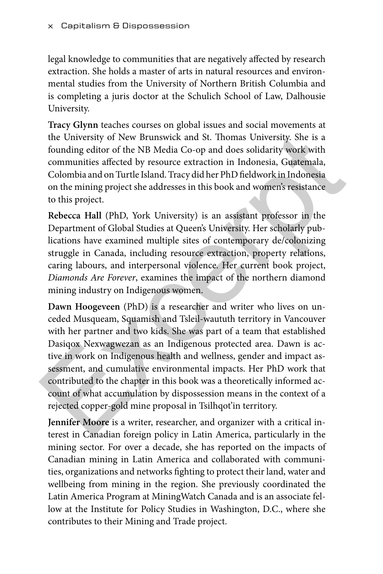legal knowledge to communities that are negatively affected by research extraction. She holds a master of arts in natural resources and environmental studies from the University of Northern British Columbia and is completing a juris doctor at the Schulich School of Law, Dalhousie University.

**Tracy Glynn** teaches courses on global issues and social movements at the University of New Brunswick and St. Thomas University. She is a founding editor of the NB Media Co-op and does solidarity work with communities affected by resource extraction in Indonesia, Guatemala, Colombia and on Turtle Island. Tracy did her PhD fieldwork in Indonesia on the mining project she addresses in this book and women's resistance to this project.

**Rebecca Hall** (PhD, York University) is an assistant professor in the Department of Global Studies at Queen's University. Her scholarly publications have examined multiple sites of contemporary de/colonizing struggle in Canada, including resource extraction, property relations, caring labours, and interpersonal violence. Her current book project, *Diamonds Are Forever*, examines the impact of the northern diamond mining industry on Indigenous women.

**Dawn Hoogeveen** (PhD) is a researcher and writer who lives on unceded Musqueam, Squamish and Tsleil-waututh territory in Vancouver with her partner and two kids. She was part of a team that established Dasiqox Nexwagwezan as an Indigenous protected area. Dawn is active in work on Indigenous health and wellness, gender and impact assessment, and cumulative environmental impacts. Her PhD work that contributed to the chapter in this book was a theoretically informed account of what accumulation by dispossession means in the context of a rejected copper-gold mine proposal in Tsilhqot'in territory. the University of New Brunswick and St. Thomas University. She is a founding editor of the NB Media Co-op and does solidarity work with communities affected by resource extraction in Indonesia, Guatemala, Colombia and on T

**Jennifer Moore** is a writer, researcher, and organizer with a critical interest in Canadian foreign policy in Latin America, particularly in the mining sector. For over a decade, she has reported on the impacts of Canadian mining in Latin America and collaborated with communities, organizations and networks fighting to protect their land, water and wellbeing from mining in the region. She previously coordinated the Latin America Program at MiningWatch Canada and is an associate fellow at the Institute for Policy Studies in Washington, D.C., where she contributes to their Mining and Trade project.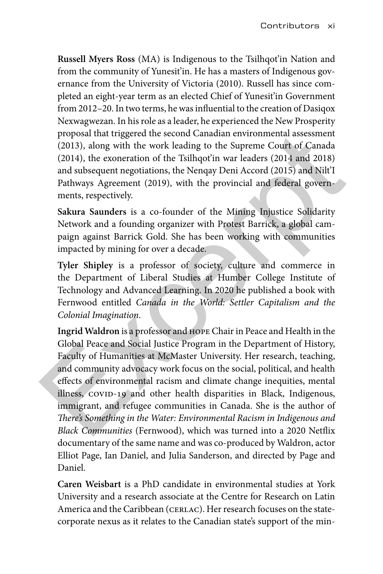**Russell Myers Ross** (MA) is Indigenous to the Tsilhqot'in Nation and from the community of Yunesit'in. He has a masters of Indigenous governance from the University of Victoria (2010). Russell has since completed an eight-year term as an elected Chief of Yunesit'in Government from 2012–20. In two terms, he was influential to the creation of Dasiqox Nexwagwezan. In his role as a leader, he experienced the New Prosperity proposal that triggered the second Canadian environmental assessment (2013), along with the work leading to the Supreme Court of Canada (2014), the exoneration of the Tsilhqot'in war leaders (2014 and 2018) and subsequent negotiations, the Nenqay Deni Accord (2015) and Nilt'I Pathways Agreement (2019), with the provincial and federal governments, respectively.

**Sakura Saunders** is a co-founder of the Mining Injustice Solidarity Network and a founding organizer with Protest Barrick, a global campaign against Barrick Gold. She has been working with communities impacted by mining for over a decade.

**Tyler Shipley** is a professor of society, culture and commerce in the Department of Liberal Studies at Humber College Institute of Technology and Advanced Learning. In 2020 he published a book with Fernwood entitled *Canada in the World: Settler Capitalism and the Colonial Imagination*.

**Ingrid Waldron** is a professor and hope Chair in Peace and Health in the Global Peace and Social Justice Program in the Department of History, Faculty of Humanities at McMaster University. Her research, teaching, and community advocacy work focus on the social, political, and health effects of environmental racism and climate change inequities, mental illness, COVID-19 and other health disparities in Black, Indigenous, immigrant, and refugee communities in Canada. She is the author of *There's Something in the Water: Environmental Racism in Indigenous and Black Communities* (Fernwood), which was turned into a 2020 Netflix documentary of the same name and was co-produced by Waldron, actor Elliot Page, Ian Daniel, and Julia Sanderson, and directed by Page and Daniel. proposal that triggered the second Canadian environmental assessment (2013), along with the work leading to the Supreme Court of Canada (2014), the exoneration of the Tsilhqot'in war leaders (2014 and 2018) and subsequent

**Caren Weisbart** is a PhD candidate in environmental studies at York University and a research associate at the Centre for Research on Latin America and the Caribbean (CERLAC). Her research focuses on the statecorporate nexus as it relates to the Canadian state's support of the min-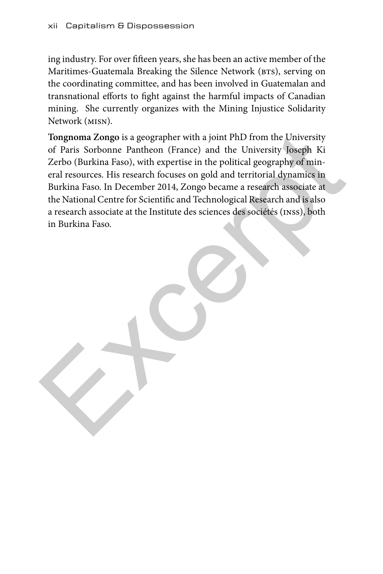ing industry. For over fifteen years, she has been an active member of the Maritimes-Guatemala Breaking the Silence Network (BTS), serving on the coordinating committee, and has been involved in Guatemalan and transnational efforts to fight against the harmful impacts of Canadian mining. She currently organizes with the Mining Injustice Solidarity Network (misn).

**Tongnoma Zongo** is a geographer with a joint PhD from the University of Paris Sorbonne Pantheon (France) and the University Joseph Ki Zerbo (Burkina Faso), with expertise in the political geography of mineral resources. His research focuses on gold and territorial dynamics in Burkina Faso. In December 2014, Zongo became a research associate at the National Centre for Scientific and Technological Research and is also a research associate at the Institute des sciences des sociétés (inss), both in Burkina Faso. Tongnoma Zongo is a geographer with a joint PhD from the University<br>of Paris Sorbonne Pantheon (France) and the University Joseph Ki<br>Zerbo (Burkina Faso, with expertise in the political geography of min-<br>eral resources. Hi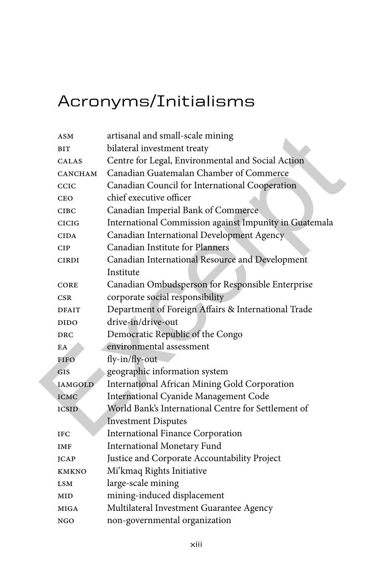# Acronyms/Initialisms

| ASM            | artisanal and small-scale mining                       |
|----------------|--------------------------------------------------------|
| <b>BIT</b>     | bilateral investment treaty                            |
| <b>CALAS</b>   | Centre for Legal, Environmental and Social Action      |
| CANCHAM        | Canadian Guatemalan Chamber of Commerce                |
| CCIC           | Canadian Council for International Cooperation         |
| <b>CEO</b>     | chief executive officer                                |
| <b>CIBC</b>    | Canadian Imperial Bank of Commerce                     |
| <b>CICIG</b>   | International Commission against Impunity in Guatemala |
| <b>CIDA</b>    | Canadian International Development Agency              |
| <b>CIP</b>     | Canadian Institute for Planners                        |
| <b>CIRDI</b>   | Canadian International Resource and Development        |
|                | Institute                                              |
| <b>CORE</b>    | Canadian Ombudsperson for Responsible Enterprise       |
| <b>CSR</b>     | corporate social responsibility                        |
| <b>DFAIT</b>   | Department of Foreign Affairs & International Trade    |
| <b>DIDO</b>    | drive-in/drive-out                                     |
| <b>DRC</b>     | Democratic Republic of the Congo                       |
| EA             | environmental assessment                               |
| <b>FIFO</b>    | fly-in/fly-out-                                        |
| <b>GIS</b>     | geographic information system                          |
| <b>IAMGOLD</b> | International African Mining Gold Corporation          |
| <b>ICMC</b>    | International Cyanide Management Code                  |
| <b>ICSID</b>   | World Bank's International Centre for Settlement of    |
|                | <b>Investment Disputes</b>                             |
| <b>IFC</b>     | <b>International Finance Corporation</b>               |
| IMF            | <b>International Monetary Fund</b>                     |
| <b>JCAP</b>    | Justice and Corporate Accountability Project           |
| <b>KMKNO</b>   | Mi'kmaq Rights Initiative                              |
| LSM            | large-scale mining                                     |
| MID            | mining-induced displacement                            |
| MIGA           | Multilateral Investment Guarantee Agency               |
| NGO            | non-governmental organization                          |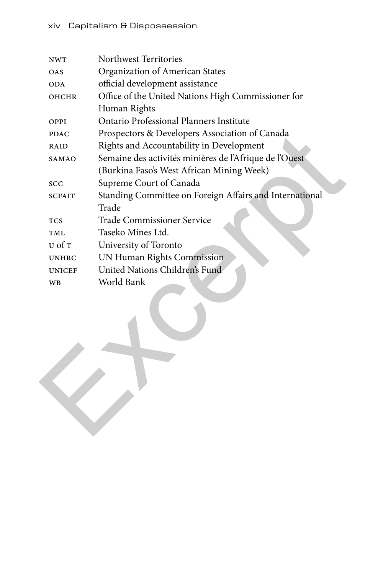| NWT           | Northwest Territories                                   |
|---------------|---------------------------------------------------------|
| <b>OAS</b>    | Organization of American States                         |
| ODA           | official development assistance                         |
| OHCHR         | Office of the United Nations High Commissioner for      |
|               | Human Rights                                            |
| OPPI          | Ontario Professional Planners Institute                 |
| <b>PDAC</b>   | Prospectors & Developers Association of Canada          |
| RAID          | Rights and Accountability in Development                |
| SAMAO         | Semaine des activités minières de l'Afrique de l'Ouest  |
|               | (Burkina Faso's West African Mining Week)               |
| <b>SCC</b>    | Supreme Court of Canada                                 |
| <b>SCFAIT</b> | Standing Committee on Foreign Affairs and International |
|               | Trade                                                   |
| <b>TCS</b>    | Trade Commissioner Service                              |
| TML           | Taseko Mines Ltd.                                       |
| U of T        | University of Toronto                                   |
| <b>UNHRC</b>  | UN Human Rights Commission                              |
| <b>UNICEF</b> | United Nations Children's Fund                          |
| WB            | World Bank                                              |
|               |                                                         |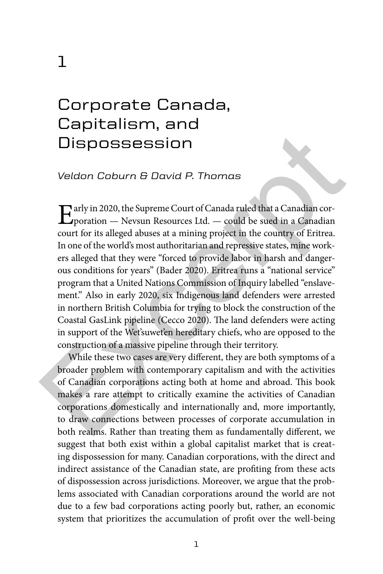## Corporate Canada, Capitalism, and Dispossession

#### *Veldon Coburn & David P. Thomas*

Early in 2020, the Supreme Court of Canada ruled that a Canadian cor-<br>poration — Nevsun Resources Ltd. — could be sued in a Canadian  $\mathbf{\Sigma}$ poration — Nevsun Resources Ltd. — could be sued in a Canadian court for its alleged abuses at a mining project in the country of Eritrea. In one of the world's most authoritarian and repressive states, mine workers alleged that they were "forced to provide labor in harsh and dangerous conditions for years" (Bader 2020). Eritrea runs a "national service" program that a United Nations Commission of Inquiry labelled "enslavement." Also in early 2020, six Indigenous land defenders were arrested in northern British Columbia for trying to block the construction of the Coastal GasLink pipeline (Cecco 2020). The land defenders were acting in support of the Wet'suwet'en hereditary chiefs, who are opposed to the construction of a massive pipeline through their territory. **Disposession**<br>
Veldon Coburn & David P. Thomas<br>
Veldon Coburn & David P. Thomas<br>
Tarly in 2020, the Supreme Court of Canada ruled that a Canadian cor-<br>
proration — Nevsun Resources Ltd. — could be sued in a Canadian<br>
cour

While these two cases are very different, they are both symptoms of a broader problem with contemporary capitalism and with the activities of Canadian corporations acting both at home and abroad. This book makes a rare attempt to critically examine the activities of Canadian corporations domestically and internationally and, more importantly, to draw connections between processes of corporate accumulation in both realms. Rather than treating them as fundamentally different, we suggest that both exist within a global capitalist market that is creating dispossession for many. Canadian corporations, with the direct and indirect assistance of the Canadian state, are profiting from these acts of dispossession across jurisdictions. Moreover, we argue that the problems associated with Canadian corporations around the world are not due to a few bad corporations acting poorly but, rather, an economic system that prioritizes the accumulation of profit over the well-being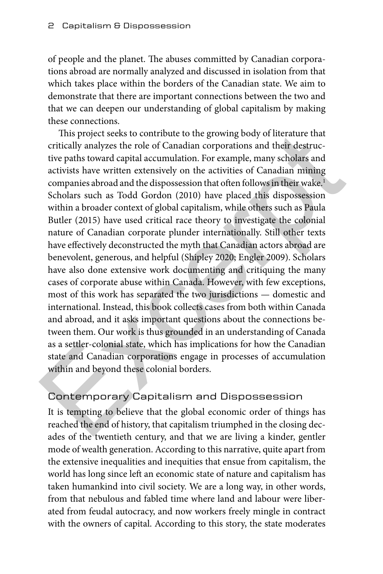of people and the planet. The abuses committed by Canadian corporations abroad are normally analyzed and discussed in isolation from that which takes place within the borders of the Canadian state. We aim to demonstrate that there are important connections between the two and that we can deepen our understanding of global capitalism by making these connections.

This project seeks to contribute to the growing body of literature that critically analyzes the role of Canadian corporations and their destructive paths toward capital accumulation. For example, many scholars and activists have written extensively on the activities of Canadian mining companies abroad and the dispossession that often follows in their wake.<sup>1</sup> Scholars such as Todd Gordon (2010) have placed this dispossession within a broader context of global capitalism, while others such as Paula Butler (2015) have used critical race theory to investigate the colonial nature of Canadian corporate plunder internationally. Still other texts have effectively deconstructed the myth that Canadian actors abroad are benevolent, generous, and helpful (Shipley 2020; Engler 2009). Scholars have also done extensive work documenting and critiquing the many cases of corporate abuse within Canada. However, with few exceptions, most of this work has separated the two jurisdictions — domestic and international. Instead, this book collects cases from both within Canada and abroad, and it asks important questions about the connections between them. Our work is thus grounded in an understanding of Canada as a settler-colonial state, which has implications for how the Canadian state and Canadian corporations engage in processes of accumulation within and beyond these colonial borders. This project seeks to contribute to the growing body of literature that<br>critically analyzes the role of Canadian corporations and their destruc-<br>tive paths toward capital accumulation. For example, many scholars and<br>activi

## Contemporary Capitalism and Dispossession

It is tempting to believe that the global economic order of things has reached the end of history, that capitalism triumphed in the closing decades of the twentieth century, and that we are living a kinder, gentler mode of wealth generation. According to this narrative, quite apart from the extensive inequalities and inequities that ensue from capitalism, the world has long since left an economic state of nature and capitalism has taken humankind into civil society. We are a long way, in other words, from that nebulous and fabled time where land and labour were liberated from feudal autocracy, and now workers freely mingle in contract with the owners of capital. According to this story, the state moderates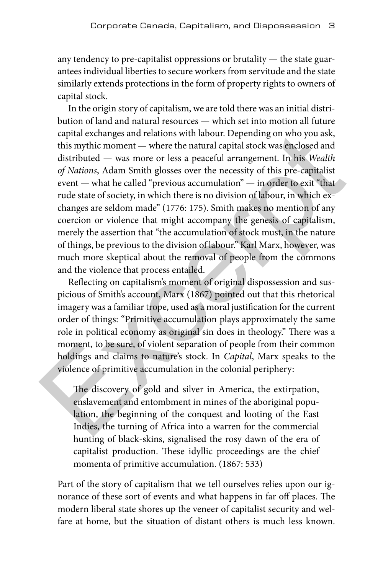any tendency to pre-capitalist oppressions or brutality — the state guarantees individual liberties to secure workers from servitude and the state similarly extends protections in the form of property rights to owners of capital stock.

In the origin story of capitalism, we are told there was an initial distribution of land and natural resources — which set into motion all future capital exchanges and relations with labour. Depending on who you ask, this mythic moment — where the natural capital stock was enclosed and distributed — was more or less a peaceful arrangement. In his *Wealth of Nations*, Adam Smith glosses over the necessity of this pre-capitalist event — what he called "previous accumulation" — in order to exit "that rude state of society, in which there is no division of labour, in which exchanges are seldom made" (1776: 175). Smith makes no mention of any coercion or violence that might accompany the genesis of capitalism, merely the assertion that "the accumulation of stock must, in the nature of things, be previous to the division of labour." Karl Marx, however, was much more skeptical about the removal of people from the commons and the violence that process entailed. capital exchanges and relations with labour. Depending on who you ask,<br>this mythic moment — where the natural capital stock was enclosed and<br>distributed — was more or less a peaceful arrangement. In his *Wealth*<br>of *Natio* 

Reflecting on capitalism's moment of original dispossession and suspicious of Smith's account, Marx (1867) pointed out that this rhetorical imagery was a familiar trope, used as a moral justification for the current order of things: "Primitive accumulation plays approximately the same role in political economy as original sin does in theology." There was a moment, to be sure, of violent separation of people from their common holdings and claims to nature's stock. In *Capital*, Marx speaks to the violence of primitive accumulation in the colonial periphery:

The discovery of gold and silver in America, the extirpation, enslavement and entombment in mines of the aboriginal population, the beginning of the conquest and looting of the East Indies, the turning of Africa into a warren for the commercial hunting of black-skins, signalised the rosy dawn of the era of capitalist production. These idyllic proceedings are the chief momenta of primitive accumulation. (1867: 533)

Part of the story of capitalism that we tell ourselves relies upon our ignorance of these sort of events and what happens in far off places. The modern liberal state shores up the veneer of capitalist security and welfare at home, but the situation of distant others is much less known.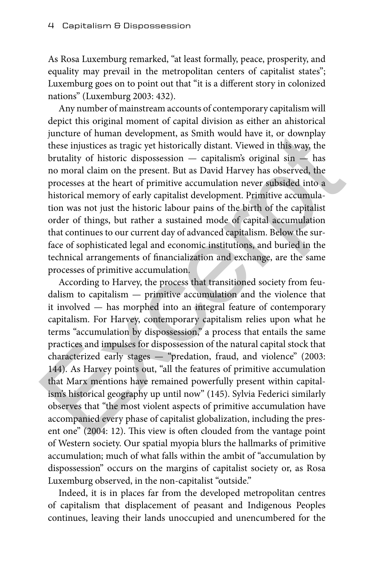As Rosa Luxemburg remarked, "at least formally, peace, prosperity, and equality may prevail in the metropolitan centers of capitalist states"; Luxemburg goes on to point out that "it is a different story in colonized nations" (Luxemburg 2003: 432).

Any number of mainstream accounts of contemporary capitalism will depict this original moment of capital division as either an ahistorical juncture of human development, as Smith would have it, or downplay these injustices as tragic yet historically distant. Viewed in this way, the brutality of historic dispossession — capitalism's original sin — has no moral claim on the present. But as David Harvey has observed, the processes at the heart of primitive accumulation never subsided into a historical memory of early capitalist development. Primitive accumulation was not just the historic labour pains of the birth of the capitalist order of things, but rather a sustained mode of capital accumulation that continues to our current day of advanced capitalism. Below the surface of sophisticated legal and economic institutions, and buried in the technical arrangements of financialization and exchange, are the same processes of primitive accumulation.

According to Harvey, the process that transitioned society from feudalism to capitalism — primitive accumulation and the violence that it involved — has morphed into an integral feature of contemporary capitalism. For Harvey, contemporary capitalism relies upon what he terms "accumulation by dispossession," a process that entails the same practices and impulses for dispossession of the natural capital stock that characterized early stages — "predation, fraud, and violence" (2003: 144). As Harvey points out, "all the features of primitive accumulation that Marx mentions have remained powerfully present within capitalism's historical geography up until now" (145). Sylvia Federici similarly observes that "the most violent aspects of primitive accumulation have accompanied every phase of capitalist globalization, including the present one" (2004: 12). This view is often clouded from the vantage point of Western society. Our spatial myopia blurs the hallmarks of primitive accumulation; much of what falls within the ambit of "accumulation by dispossession" occurs on the margins of capitalist society or, as Rosa Luxemburg observed, in the non-capitalist "outside." juncture of human development, as Smith would have it, or downplay<br>these injustices as tragic yet historically distant. Viewed in this way, the<br>butality of historic dispossession — capitalism's original sin — has<br>no moral

Indeed, it is in places far from the developed metropolitan centres of capitalism that displacement of peasant and Indigenous Peoples continues, leaving their lands unoccupied and unencumbered for the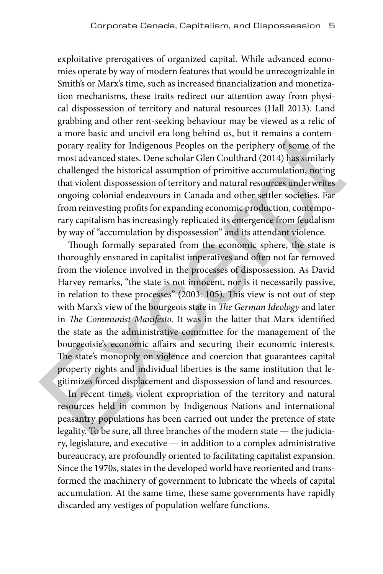exploitative prerogatives of organized capital. While advanced economies operate by way of modern features that would be unrecognizable in Smith's or Marx's time, such as increased financialization and monetization mechanisms, these traits redirect our attention away from physical dispossession of territory and natural resources (Hall 2013). Land grabbing and other rent-seeking behaviour may be viewed as a relic of a more basic and uncivil era long behind us, but it remains a contemporary reality for Indigenous Peoples on the periphery of some of the most advanced states. Dene scholar Glen Coulthard (2014) has similarly challenged the historical assumption of primitive accumulation, noting that violent dispossession of territory and natural resources underwrites ongoing colonial endeavours in Canada and other settler societies. Far from reinvesting profits for expanding economic production, contemporary capitalism has increasingly replicated its emergence from feudalism by way of "accumulation by dispossession" and its attendant violence.

Though formally separated from the economic sphere, the state is thoroughly ensnared in capitalist imperatives and often not far removed from the violence involved in the processes of dispossession. As David Harvey remarks, "the state is not innocent, nor is it necessarily passive, in relation to these processes" (2003: 105). This view is not out of step with Marx's view of the bourgeois state in *The German Ideology* and later in *The Communist Manifesto*. It was in the latter that Marx identified the state as the administrative committee for the management of the bourgeoisie's economic affairs and securing their economic interests. The state's monopoly on violence and coercion that guarantees capital property rights and individual liberties is the same institution that legitimizes forced displacement and dispossession of land and resources. a more basic and uncivil era long behind us, but it remains a contem-<br>porary reality for Indigenous Peoples on the periphery of some of the<br>most advanced states. Dene scholar Glen Coulthard (2014) has similarly<br>challenged

In recent times, violent expropriation of the territory and natural resources held in common by Indigenous Nations and international peasantry populations has been carried out under the pretence of state legality. To be sure, all three branches of the modern state — the judiciary, legislature, and executive — in addition to a complex administrative bureaucracy, are profoundly oriented to facilitating capitalist expansion. Since the 1970s, states in the developed world have reoriented and transformed the machinery of government to lubricate the wheels of capital accumulation. At the same time, these same governments have rapidly discarded any vestiges of population welfare functions.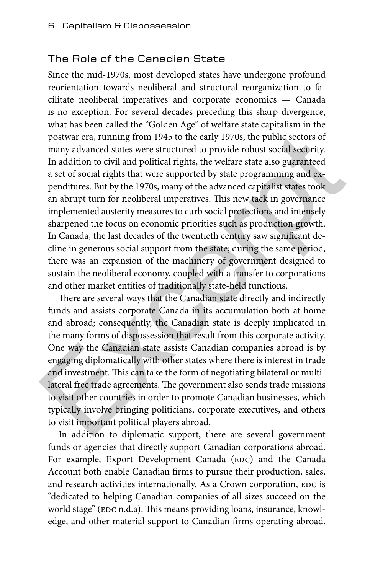#### The Role of the Canadian State

Since the mid-1970s, most developed states have undergone profound reorientation towards neoliberal and structural reorganization to facilitate neoliberal imperatives and corporate economics — Canada is no exception. For several decades preceding this sharp divergence, what has been called the "Golden Age" of welfare state capitalism in the postwar era, running from 1945 to the early 1970s, the public sectors of many advanced states were structured to provide robust social security. In addition to civil and political rights, the welfare state also guaranteed a set of social rights that were supported by state programming and expenditures. But by the 1970s, many of the advanced capitalist states took an abrupt turn for neoliberal imperatives. This new tack in governance implemented austerity measures to curb social protections and intensely sharpened the focus on economic priorities such as production growth. In Canada, the last decades of the twentieth century saw significant decline in generous social support from the state; during the same period, there was an expansion of the machinery of government designed to sustain the neoliberal economy, coupled with a transfer to corporations and other market entities of traditionally state-held functions. postwar era, running from 1945 to the early 1970s, the public sectors of<br>many advanced states were structured to provide robust social security.<br>In addition to civil and political rights, the welfare state also guaranteed<br>

There are several ways that the Canadian state directly and indirectly funds and assists corporate Canada in its accumulation both at home and abroad; consequently, the Canadian state is deeply implicated in the many forms of dispossession that result from this corporate activity. One way the Canadian state assists Canadian companies abroad is by engaging diplomatically with other states where there is interest in trade and investment. This can take the form of negotiating bilateral or multilateral free trade agreements. The government also sends trade missions to visit other countries in order to promote Canadian businesses, which typically involve bringing politicians, corporate executives, and others to visit important political players abroad.

In addition to diplomatic support, there are several government funds or agencies that directly support Canadian corporations abroad. For example, Export Development Canada (EDC) and the Canada Account both enable Canadian firms to pursue their production, sales, and research activities internationally. As a Crown corporation, EDC is "dedicated to helping Canadian companies of all sizes succeed on the world stage" (EDC n.d.a). This means providing loans, insurance, knowledge, and other material support to Canadian firms operating abroad.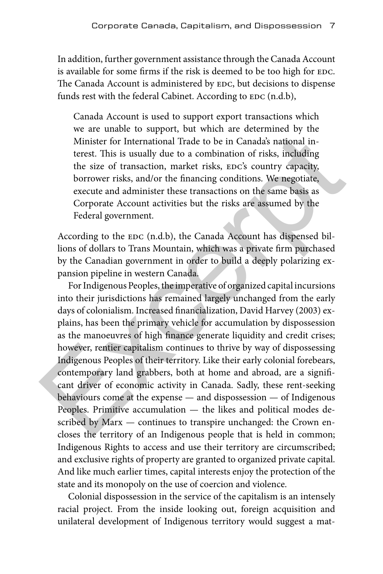In addition, further government assistance through the Canada Account is available for some firms if the risk is deemed to be too high for EDC. The Canada Account is administered by EDC, but decisions to dispense funds rest with the federal Cabinet. According to EDC (n.d.b),

Canada Account is used to support export transactions which we are unable to support, but which are determined by the Minister for International Trade to be in Canada's national interest. This is usually due to a combination of risks, including the size of transaction, market risks, EDC's country capacity, borrower risks, and/or the financing conditions. We negotiate, execute and administer these transactions on the same basis as Corporate Account activities but the risks are assumed by the Federal government.

According to the EDC (n.d.b), the Canada Account has dispensed billions of dollars to Trans Mountain, which was a private firm purchased by the Canadian government in order to build a deeply polarizing expansion pipeline in western Canada.

For Indigenous Peoples, the imperative of organized capital incursions into their jurisdictions has remained largely unchanged from the early days of colonialism. Increased financialization, David Harvey (2003) explains, has been the primary vehicle for accumulation by dispossession as the manoeuvres of high finance generate liquidity and credit crises; however, rentier capitalism continues to thrive by way of dispossessing Indigenous Peoples of their territory. Like their early colonial forebears, contemporary land grabbers, both at home and abroad, are a significant driver of economic activity in Canada. Sadly, these rent-seeking behaviours come at the expense — and dispossession — of Indigenous Peoples. Primitive accumulation — the likes and political modes described by Marx - continues to transpire unchanged: the Crown encloses the territory of an Indigenous people that is held in common; Indigenous Rights to access and use their territory are circumscribed; and exclusive rights of property are granted to organized private capital. And like much earlier times, capital interests enjoy the protection of the state and its monopoly on the use of coercion and violence. Minister for International Trade to be in Canada's national or<br>
where the minister for International Trade to be in Canada's national in-<br>
terest. This is usually due to a combination of risks, including<br>
the size of tran

Colonial dispossession in the service of the capitalism is an intensely racial project. From the inside looking out, foreign acquisition and unilateral development of Indigenous territory would suggest a mat-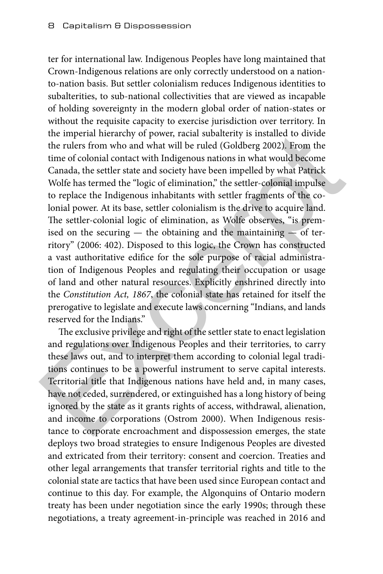ter for international law. Indigenous Peoples have long maintained that Crown-Indigenous relations are only correctly understood on a nationto-nation basis. But settler colonialism reduces Indigenous identities to subalterities, to sub-national collectivities that are viewed as incapable of holding sovereignty in the modern global order of nation-states or without the requisite capacity to exercise jurisdiction over territory. In the imperial hierarchy of power, racial subalterity is installed to divide the rulers from who and what will be ruled (Goldberg 2002). From the time of colonial contact with Indigenous nations in what would become Canada, the settler state and society have been impelled by what Patrick Wolfe has termed the "logic of elimination," the settler-colonial impulse to replace the Indigenous inhabitants with settler fragments of the colonial power. At its base, settler colonialism is the drive to acquire land. The settler-colonial logic of elimination, as Wolfe observes, "is premised on the securing  $-$  the obtaining and the maintaining  $-$  of territory" (2006: 402). Disposed to this logic, the Crown has constructed a vast authoritative edifice for the sole purpose of racial administration of Indigenous Peoples and regulating their occupation or usage of land and other natural resources. Explicitly enshrined directly into the *Constitution Act, 1867*, the colonial state has retained for itself the prerogative to legislate and execute laws concerning "Indians, and lands reserved for the Indians." the imperial hierarchy of power, racial subalterity is installed to divide<br>the rulers from who and what will be ruled (Goldberg 2002). From the<br>true of colonial contact with Indigenous nations in what would become<br>Canada,

The exclusive privilege and right of the settler state to enact legislation and regulations over Indigenous Peoples and their territories, to carry these laws out, and to interpret them according to colonial legal traditions continues to be a powerful instrument to serve capital interests. Territorial title that Indigenous nations have held and, in many cases, have not ceded, surrendered, or extinguished has a long history of being ignored by the state as it grants rights of access, withdrawal, alienation, and income to corporations (Ostrom 2000). When Indigenous resistance to corporate encroachment and dispossession emerges, the state deploys two broad strategies to ensure Indigenous Peoples are divested and extricated from their territory: consent and coercion. Treaties and other legal arrangements that transfer territorial rights and title to the colonial state are tactics that have been used since European contact and continue to this day. For example, the Algonquins of Ontario modern treaty has been under negotiation since the early 1990s; through these negotiations, a treaty agreement-in-principle was reached in 2016 and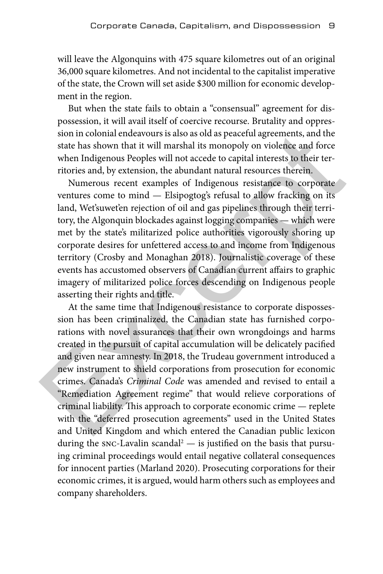will leave the Algonquins with 475 square kilometres out of an original 36,000 square kilometres. And not incidental to the capitalist imperative of the state, the Crown will set aside \$300 million for economic development in the region.

But when the state fails to obtain a "consensual" agreement for dispossession, it will avail itself of coercive recourse. Brutality and oppression in colonial endeavours is also as old as peaceful agreements, and the state has shown that it will marshal its monopoly on violence and force when Indigenous Peoples will not accede to capital interests to their territories and, by extension, the abundant natural resources therein.

Numerous recent examples of Indigenous resistance to corporate ventures come to mind — Elsipogtog's refusal to allow fracking on its land, Wet'suwet'en rejection of oil and gas pipelines through their territory, the Algonquin blockades against logging companies — which were met by the state's militarized police authorities vigorously shoring up corporate desires for unfettered access to and income from Indigenous territory (Crosby and Monaghan 2018). Journalistic coverage of these events has accustomed observers of Canadian current affairs to graphic imagery of militarized police forces descending on Indigenous people asserting their rights and title.

At the same time that Indigenous resistance to corporate dispossession has been criminalized, the Canadian state has furnished corporations with novel assurances that their own wrongdoings and harms created in the pursuit of capital accumulation will be delicately pacified and given near amnesty. In 2018, the Trudeau government introduced a new instrument to shield corporations from prosecution for economic crimes. Canada's *Criminal Code* was amended and revised to entail a "Remediation Agreement regime" that would relieve corporations of criminal liability. This approach to corporate economic crime — replete with the "deferred prosecution agreements" used in the United States and United Kingdom and which entered the Canadian public lexicon during the  $src$ -Lavalin scandal<sup>2</sup>  $-$  is justified on the basis that pursuing criminal proceedings would entail negative collateral consequences for innocent parties (Marland 2020). Prosecuting corporations for their economic crimes, it is argued, would harm others such as employees and company shareholders. sion in colonial endeavours is also as old as peaceful agreements, and the state has shown that it will marshal its monopoly on violence and force when Indigenous Peoples will not accede to capital interests to their terr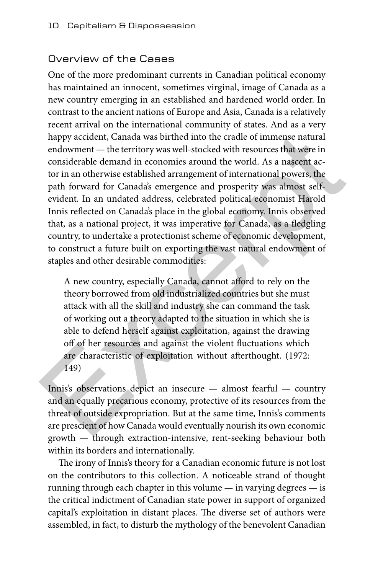### Overview of the Cases

One of the more predominant currents in Canadian political economy has maintained an innocent, sometimes virginal, image of Canada as a new country emerging in an established and hardened world order. In contrast to the ancient nations of Europe and Asia, Canada is a relatively recent arrival on the international community of states. And as a very happy accident, Canada was birthed into the cradle of immense natural endowment — the territory was well-stocked with resources that were in considerable demand in economies around the world. As a nascent actor in an otherwise established arrangement of international powers, the path forward for Canada's emergence and prosperity was almost selfevident. In an undated address, celebrated political economist Harold Innis reflected on Canada's place in the global economy. Innis observed that, as a national project, it was imperative for Canada, as a fledgling country, to undertake a protectionist scheme of economic development, to construct a future built on exporting the vast natural endowment of staples and other desirable commodities: happy accident, Canada was birthed into the cradle of immense natural<br>
endowment — the territory was well-stocked with resources that were in<br>
considerable demand in economics around the world. As a nascent ac-<br>
tor in an

A new country, especially Canada, cannot afford to rely on the theory borrowed from old industrialized countries but she must attack with all the skill and industry she can command the task of working out a theory adapted to the situation in which she is able to defend herself against exploitation, against the drawing off of her resources and against the violent fluctuations which are characteristic of exploitation without afterthought. (1972: 149)

Innis's observations depict an insecure — almost fearful — country and an equally precarious economy, protective of its resources from the threat of outside expropriation. But at the same time, Innis's comments are prescient of how Canada would eventually nourish its own economic growth — through extraction-intensive, rent-seeking behaviour both within its borders and internationally.

The irony of Innis's theory for a Canadian economic future is not lost on the contributors to this collection. A noticeable strand of thought running through each chapter in this volume — in varying degrees — is the critical indictment of Canadian state power in support of organized capital's exploitation in distant places. The diverse set of authors were assembled, in fact, to disturb the mythology of the benevolent Canadian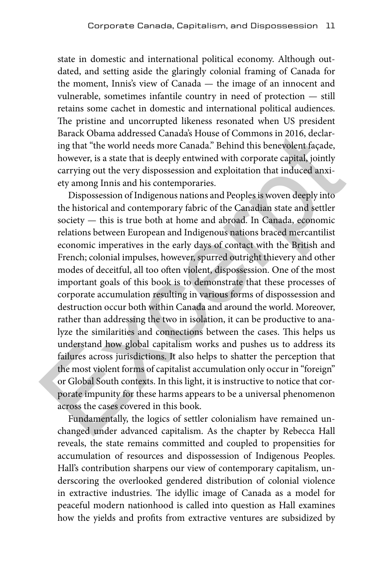state in domestic and international political economy. Although outdated, and setting aside the glaringly colonial framing of Canada for the moment, Innis's view of Canada — the image of an innocent and vulnerable, sometimes infantile country in need of protection — still retains some cachet in domestic and international political audiences. The pristine and uncorrupted likeness resonated when US president Barack Obama addressed Canada's House of Commons in 2016, declaring that "the world needs more Canada." Behind this benevolent façade, however, is a state that is deeply entwined with corporate capital, jointly carrying out the very dispossession and exploitation that induced anxiety among Innis and his contemporaries.

Dispossession of Indigenous nations and Peoples is woven deeply into the historical and contemporary fabric of the Canadian state and settler society — this is true both at home and abroad. In Canada, economic relations between European and Indigenous nations braced mercantilist economic imperatives in the early days of contact with the British and French; colonial impulses, however, spurred outright thievery and other modes of deceitful, all too often violent, dispossession. One of the most important goals of this book is to demonstrate that these processes of corporate accumulation resulting in various forms of dispossession and destruction occur both within Canada and around the world. Moreover, rather than addressing the two in isolation, it can be productive to analyze the similarities and connections between the cases. This helps us understand how global capitalism works and pushes us to address its failures across jurisdictions. It also helps to shatter the perception that the most violent forms of capitalist accumulation only occur in "foreign" or Global South contexts. In this light, it is instructive to notice that corporate impunity for these harms appears to be a universal phenomenon across the cases covered in this book. Barack Obama addressed Canadas House of Commons in 2016, declaring that "the world needs more Canada" Behind this benevolent façade, however, is a state that is deeply entwined with corporate capital, jointly carrying out

Fundamentally, the logics of settler colonialism have remained unchanged under advanced capitalism. As the chapter by Rebecca Hall reveals, the state remains committed and coupled to propensities for accumulation of resources and dispossession of Indigenous Peoples. Hall's contribution sharpens our view of contemporary capitalism, underscoring the overlooked gendered distribution of colonial violence in extractive industries. The idyllic image of Canada as a model for peaceful modern nationhood is called into question as Hall examines how the yields and profits from extractive ventures are subsidized by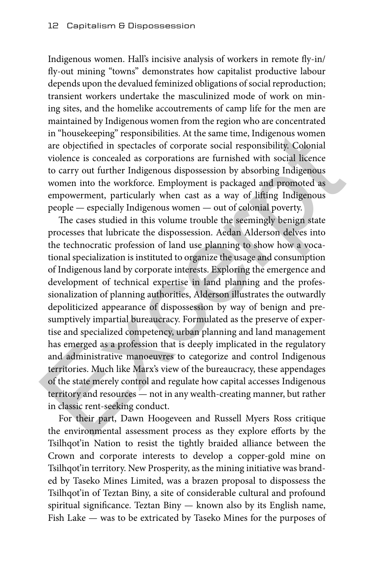Indigenous women. Hall's incisive analysis of workers in remote fly-in/ fly-out mining "towns" demonstrates how capitalist productive labour depends upon the devalued feminized obligations of social reproduction; transient workers undertake the masculinized mode of work on mining sites, and the homelike accoutrements of camp life for the men are maintained by Indigenous women from the region who are concentrated in "housekeeping" responsibilities. At the same time, Indigenous women are objectified in spectacles of corporate social responsibility. Colonial violence is concealed as corporations are furnished with social licence to carry out further Indigenous dispossession by absorbing Indigenous women into the workforce. Employment is packaged and promoted as empowerment, particularly when cast as a way of lifting Indigenous people — especially Indigenous women — out of colonial poverty.

The cases studied in this volume trouble the seemingly benign state processes that lubricate the dispossession. Aedan Alderson delves into the technocratic profession of land use planning to show how a vocational specialization is instituted to organize the usage and consumption of Indigenous land by corporate interests. Exploring the emergence and development of technical expertise in land planning and the professionalization of planning authorities, Alderson illustrates the outwardly depoliticized appearance of dispossession by way of benign and presumptively impartial bureaucracy. Formulated as the preserve of expertise and specialized competency, urban planning and land management has emerged as a profession that is deeply implicated in the regulatory and administrative manoeuvres to categorize and control Indigenous territories. Much like Marx's view of the bureaucracy, these appendages of the state merely control and regulate how capital accesses Indigenous territory and resources — not in any wealth-creating manner, but rather in classic rent-seeking conduct. in "housekeeping" responsibilities. At the same time, Indigenous women<br>are objectified in spectacles of corporate social responsibility. Colonial<br>violence is concealed as corporations are furnished with social licence<br>to

For their part, Dawn Hoogeveen and Russell Myers Ross critique the environmental assessment process as they explore efforts by the Tsilhqot'in Nation to resist the tightly braided alliance between the Crown and corporate interests to develop a copper-gold mine on Tsilhqot'in territory. New Prosperity, as the mining initiative was branded by Taseko Mines Limited, was a brazen proposal to dispossess the Tsilhqot'in of Teztan Biny, a site of considerable cultural and profound spiritual significance. Teztan Biny — known also by its English name, Fish Lake — was to be extricated by Taseko Mines for the purposes of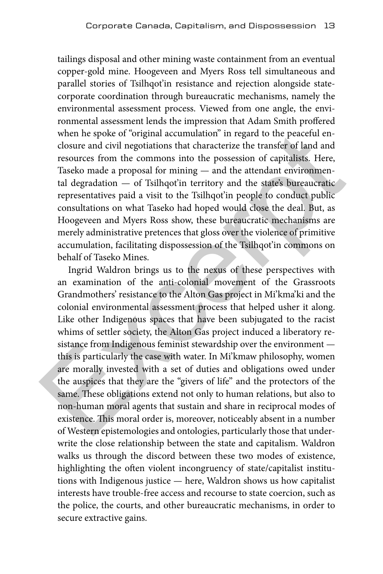tailings disposal and other mining waste containment from an eventual copper-gold mine. Hoogeveen and Myers Ross tell simultaneous and parallel stories of Tsilhqot'in resistance and rejection alongside statecorporate coordination through bureaucratic mechanisms, namely the environmental assessment process. Viewed from one angle, the environmental assessment lends the impression that Adam Smith proffered when he spoke of "original accumulation" in regard to the peaceful enclosure and civil negotiations that characterize the transfer of land and resources from the commons into the possession of capitalists. Here, Taseko made a proposal for mining — and the attendant environmental degradation — of Tsilhqot'in territory and the state's bureaucratic representatives paid a visit to the Tsilhqot'in people to conduct public consultations on what Taseko had hoped would close the deal. But, as Hoogeveen and Myers Ross show, these bureaucratic mechanisms are merely administrative pretences that gloss over the violence of primitive accumulation, facilitating dispossession of the Tsilhqot'in commons on behalf of Taseko Mines.

Ingrid Waldron brings us to the nexus of these perspectives with an examination of the anti-colonial movement of the Grassroots Grandmothers' resistance to the Alton Gas project in Mi'kma'ki and the colonial environmental assessment process that helped usher it along. Like other Indigenous spaces that have been subjugated to the racist whims of settler society, the Alton Gas project induced a liberatory resistance from Indigenous feminist stewardship over the environment this is particularly the case with water. In Mi'kmaw philosophy, women are morally invested with a set of duties and obligations owed under the auspices that they are the "givers of life" and the protectors of the same. These obligations extend not only to human relations, but also to non-human moral agents that sustain and share in reciprocal modes of existence. This moral order is, moreover, noticeably absent in a number of Western epistemologies and ontologies, particularly those that underwrite the close relationship between the state and capitalism. Waldron walks us through the discord between these two modes of existence, highlighting the often violent incongruency of state/capitalist institutions with Indigenous justice — here, Waldron shows us how capitalist interests have trouble-free access and recourse to state coercion, such as the police, the courts, and other bureaucratic mechanisms, in order to secure extractive gains. when he spoke of "original accumulation" in regard to the peaceful en-<br>closure and civil negotiations that characterize the transfer of land and<br>resources from the commons into the possession of capitalists. Here,<br>Taseko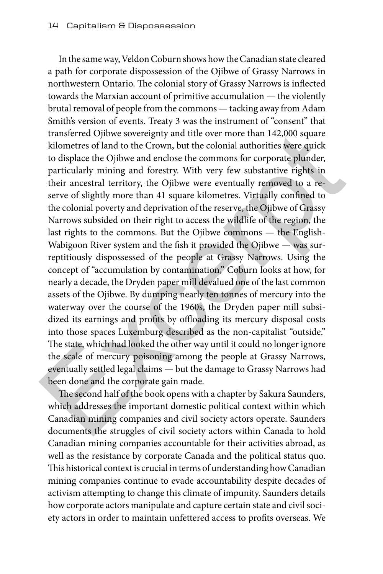In the same way, Veldon Coburn shows how the Canadian state cleared a path for corporate dispossession of the Ojibwe of Grassy Narrows in northwestern Ontario. The colonial story of Grassy Narrows is inflected towards the Marxian account of primitive accumulation — the violently brutal removal of people from the commons — tacking away from Adam Smith's version of events. Treaty 3 was the instrument of "consent" that transferred Ojibwe sovereignty and title over more than 142,000 square kilometres of land to the Crown, but the colonial authorities were quick to displace the Ojibwe and enclose the commons for corporate plunder, particularly mining and forestry. With very few substantive rights in their ancestral territory, the Ojibwe were eventually removed to a reserve of slightly more than 41 square kilometres. Virtually confined to the colonial poverty and deprivation of the reserve, the Ojibwe of Grassy Narrows subsided on their right to access the wildlife of the region, the last rights to the commons. But the Ojibwe commons — the English-Wabigoon River system and the fish it provided the Ojibwe — was surreptitiously dispossessed of the people at Grassy Narrows. Using the concept of "accumulation by contamination," Coburn looks at how, for nearly a decade, the Dryden paper mill devalued one of the last common assets of the Ojibwe. By dumping nearly ten tonnes of mercury into the waterway over the course of the 1960s, the Dryden paper mill subsidized its earnings and profits by offloading its mercury disposal costs into those spaces Luxemburg described as the non-capitalist "outside." The state, which had looked the other way until it could no longer ignore the scale of mercury poisoning among the people at Grassy Narrows, eventually settled legal claims — but the damage to Grassy Narrows had been done and the corporate gain made. transferred Ojibwe sovereignty and title over more than 142,000 square<br>kilometres of land to the Crown, but the colonial authorities were quick<br>displace the Ojibwe and enchose the commons for corporate pluder,<br>particularl

The second half of the book opens with a chapter by Sakura Saunders, which addresses the important domestic political context within which Canadian mining companies and civil society actors operate. Saunders documents the struggles of civil society actors within Canada to hold Canadian mining companies accountable for their activities abroad, as well as the resistance by corporate Canada and the political status quo. This historical context is crucial in terms of understanding how Canadian mining companies continue to evade accountability despite decades of activism attempting to change this climate of impunity. Saunders details how corporate actors manipulate and capture certain state and civil society actors in order to maintain unfettered access to profits overseas. We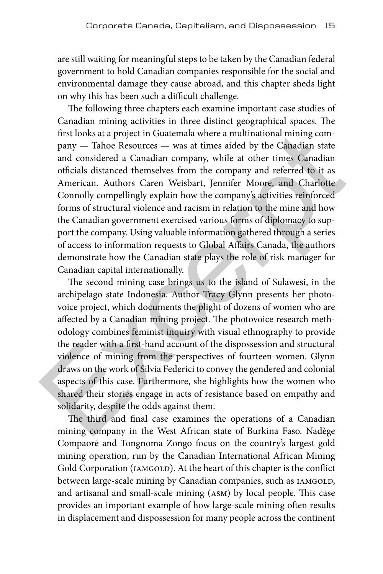are still waiting for meaningful steps to be taken by the Canadian federal government to hold Canadian companies responsible for the social and environmental damage they cause abroad, and this chapter sheds light on why this has been such a difficult challenge.

The following three chapters each examine important case studies of Canadian mining activities in three distinct geographical spaces. The first looks at a project in Guatemala where a multinational mining company — Tahoe Resources — was at times aided by the Canadian state and considered a Canadian company, while at other times Canadian officials distanced themselves from the company and referred to it as American. Authors Caren Weisbart, Jennifer Moore, and Charlotte Connolly compellingly explain how the company's activities reinforced forms of structural violence and racism in relation to the mine and how the Canadian government exercised various forms of diplomacy to support the company. Using valuable information gathered through a series of access to information requests to Global Affairs Canada, the authors demonstrate how the Canadian state plays the role of risk manager for Canadian capital internationally. first looks at a project in Guatemala where a multinational mining com-<br>pany — Tahoe Resources — was at times aided by the Canadian state<br>and considered a Canadian company, while at other times Canadian<br>officials distanced

The second mining case brings us to the island of Sulawesi, in the archipelago state Indonesia. Author Tracy Glynn presents her photovoice project, which documents the plight of dozens of women who are affected by a Canadian mining project. The photovoice research methodology combines feminist inquiry with visual ethnography to provide the reader with a first-hand account of the dispossession and structural violence of mining from the perspectives of fourteen women. Glynn draws on the work of Silvia Federici to convey the gendered and colonial aspects of this case. Furthermore, she highlights how the women who shared their stories engage in acts of resistance based on empathy and solidarity, despite the odds against them.

The third and final case examines the operations of a Canadian mining company in the West African state of Burkina Faso. Nadège Compaoré and Tongnoma Zongo focus on the country's largest gold mining operation, run by the Canadian International African Mining Gold Corporation (IAMGOLD). At the heart of this chapter is the conflict between large-scale mining by Canadian companies, such as IAMGOLD, and artisanal and small-scale mining (asm) by local people. This case provides an important example of how large-scale mining often results in displacement and dispossession for many people across the continent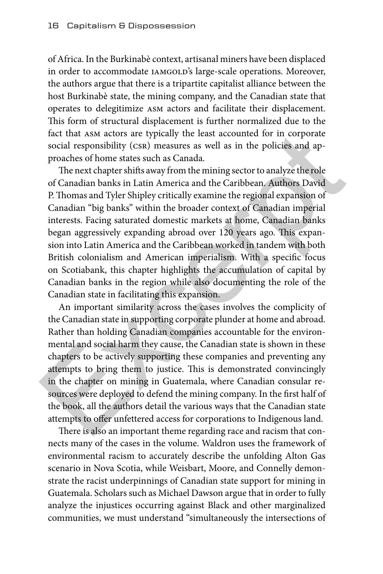of Africa. In the Burkinabè context, artisanal miners have been displaced in order to accommodate IAMGOLD's large-scale operations. Moreover, the authors argue that there is a tripartite capitalist alliance between the host Burkinabè state, the mining company, and the Canadian state that operates to delegitimize asm actors and facilitate their displacement. This form of structural displacement is further normalized due to the fact that asm actors are typically the least accounted for in corporate social responsibility (csr) measures as well as in the policies and approaches of home states such as Canada.

The next chapter shifts away from the mining sector to analyze the role of Canadian banks in Latin America and the Caribbean. Authors David P. Thomas and Tyler Shipley critically examine the regional expansion of Canadian "big banks" within the broader context of Canadian imperial interests. Facing saturated domestic markets at home, Canadian banks began aggressively expanding abroad over 120 years ago. This expansion into Latin America and the Caribbean worked in tandem with both British colonialism and American imperialism. With a specific focus on Scotiabank, this chapter highlights the accumulation of capital by Canadian banks in the region while also documenting the role of the Canadian state in facilitating this expansion. fact that ASM actors are typically the least accounted for in corporate<br>social responsibility (csst) measures as well as in the policies and ap-<br>proaches of home states such as Canada.<br>The next chapter shifts away from th

An important similarity across the cases involves the complicity of the Canadian state in supporting corporate plunder at home and abroad. Rather than holding Canadian companies accountable for the environmental and social harm they cause, the Canadian state is shown in these chapters to be actively supporting these companies and preventing any attempts to bring them to justice. This is demonstrated convincingly in the chapter on mining in Guatemala, where Canadian consular resources were deployed to defend the mining company. In the first half of the book, all the authors detail the various ways that the Canadian state attempts to offer unfettered access for corporations to Indigenous land.

There is also an important theme regarding race and racism that connects many of the cases in the volume. Waldron uses the framework of environmental racism to accurately describe the unfolding Alton Gas scenario in Nova Scotia, while Weisbart, Moore, and Connelly demonstrate the racist underpinnings of Canadian state support for mining in Guatemala. Scholars such as Michael Dawson argue that in order to fully analyze the injustices occurring against Black and other marginalized communities, we must understand "simultaneously the intersections of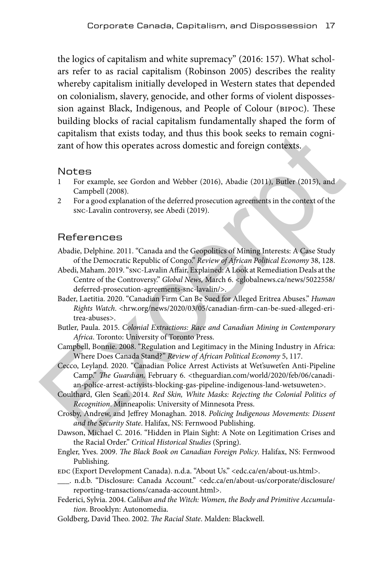the logics of capitalism and white supremacy" (2016: 157). What scholars refer to as racial capitalism (Robinson 2005) describes the reality whereby capitalism initially developed in Western states that depended on colonialism, slavery, genocide, and other forms of violent dispossession against Black, Indigenous, and People of Colour (bipoc). These building blocks of racial capitalism fundamentally shaped the form of capitalism that exists today, and thus this book seeks to remain cognizant of how this operates across domestic and foreign contexts.

#### Notes

- For example, see Gordon and Webber (2016), Abadie (2011), Butler (2015), and Campbell (2008).
- 2 For a good explanation of the deferred prosecution agreements in the context of the snc-Lavalin controversy, see Abedi (2019).

#### References

- Abadie, Delphine. 2011. "Canada and the Geopolitics of Mining Interests: A Case Study of the Democratic Republic of Congo." *Review of African Political Economy* 38, 128.
- Abedi, Maham. 2019. "snc-Lavalin Affair, Explained: A Look at Remediation Deals at the Centre of the Controversy." *Global News,* March 6. <globalnews.ca/news/5022558/ deferred-prosecution-agreements-snc-lavalin/>. capitalism that exists today, and thus this book seeks to remain cogni-<br>
2ant of how this operates across domestic and foreign contexts.<br>
1 For example, see Gordon and Webber (2016), Abadie (2011), Butler (2015), and<br>
2am
	- Bader, Laetitia. 2020. "Canadian Firm Can Be Sued for Alleged Eritrea Abuses." *Human Rights Watch*. <hrw.org/news/2020/03/05/canadian-firm-can-be-sued-alleged-eritrea-abuses>.
	- Butler, Paula. 2015. *Colonial Extractions: Race and Canadian Mining in Contemporary Africa*. Toronto: University of Toronto Press.
	- Campbell, Bonnie. 2008. "Regulation and Legitimacy in the Mining Industry in Africa: Where Does Canada Stand?" *Review of African Political Economy* 5, 117.
	- Cecco, Leyland. 2020. "Canadian Police Arrest Activists at Wet'suwet'en Anti-Pipeline Camp." *The Guardian,* February 6. <theguardian.com/world/2020/feb/06/canadian-police-arrest-activists-blocking-gas-pipeline-indigenous-land-wetsuweten>.
	- Coulthard, Glen Sean. 2014. *Red Skin, White Masks: Rejecting the Colonial Politics of Recognition*. Minneapolis: University of Minnesota Press.
	- Crosby, Andrew, and Jeffrey Monaghan. 2018. *Policing Indigenous Movements: Dissent and the Security State*. Halifax, NS: Fernwood Publishing.
	- Dawson, Michael C. 2016. "Hidden in Plain Sight: A Note on Legitimation Crises and the Racial Order." *Critical Historical Studies* (Spring).
	- Engler, Yves. 2009. *The Black Book on Canadian Foreign Policy*. Halifax, NS: Fernwood Publishing.
	- edc (Export Development Canada). n.d.a. "About Us." <edc.ca/en/about-us.html>.
	- \_\_\_. n.d.b. "Disclosure: Canada Account." <edc.ca/en/about-us/corporate/disclosure/ reporting-transactions/canada-account.html>.
	- Federici, Sylvia. 2004. *Caliban and the Witch: Women, the Body and Primitive Accumulation*. Brooklyn: Autonomedia.
	- Goldberg, David Theo. 2002. *The Racial State*. Malden: Blackwell.